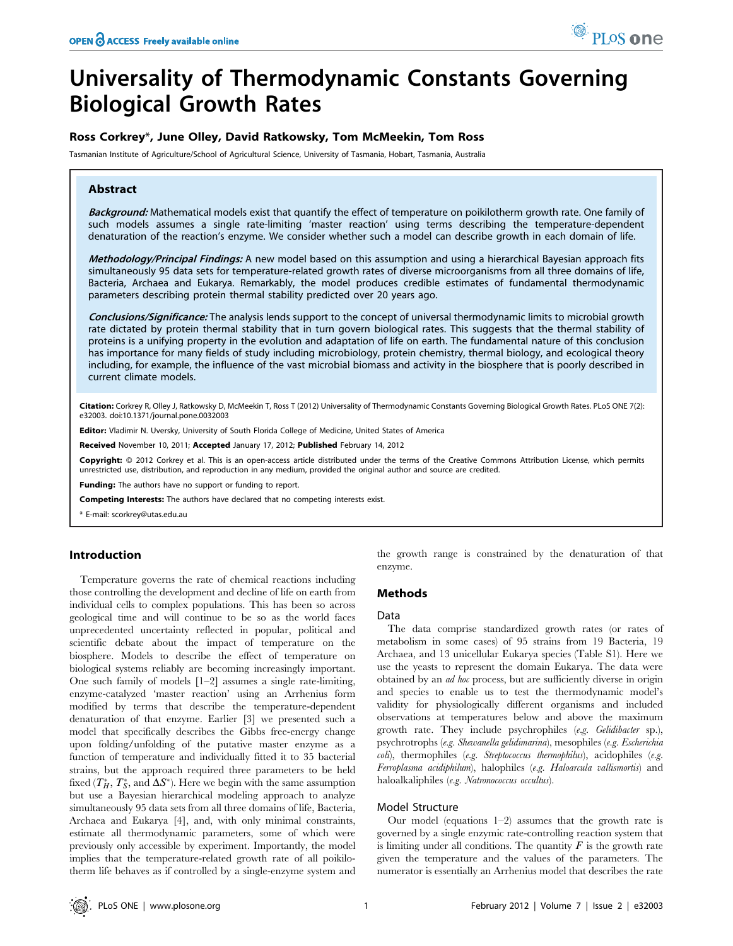# Universality of Thermodynamic Constants Governing Biological Growth Rates

## Ross Corkrey\*, June Olley, David Ratkowsky, Tom McMeekin, Tom Ross

Tasmanian Institute of Agriculture/School of Agricultural Science, University of Tasmania, Hobart, Tasmania, Australia

## Abstract

Background: Mathematical models exist that quantify the effect of temperature on poikilotherm growth rate. One family of such models assumes a single rate-limiting 'master reaction' using terms describing the temperature-dependent denaturation of the reaction's enzyme. We consider whether such a model can describe growth in each domain of life.

Methodology/Principal Findings: A new model based on this assumption and using a hierarchical Bayesian approach fits simultaneously 95 data sets for temperature-related growth rates of diverse microorganisms from all three domains of life, Bacteria, Archaea and Eukarya. Remarkably, the model produces credible estimates of fundamental thermodynamic parameters describing protein thermal stability predicted over 20 years ago.

Conclusions/Significance: The analysis lends support to the concept of universal thermodynamic limits to microbial growth rate dictated by protein thermal stability that in turn govern biological rates. This suggests that the thermal stability of proteins is a unifying property in the evolution and adaptation of life on earth. The fundamental nature of this conclusion has importance for many fields of study including microbiology, protein chemistry, thermal biology, and ecological theory including, for example, the influence of the vast microbial biomass and activity in the biosphere that is poorly described in current climate models.

Citation: Corkrey R, Olley J, Ratkowsky D, McMeekin T, Ross T (2012) Universality of Thermodynamic Constants Governing Biological Growth Rates. PLoS ONE 7(2): e32003. doi:10.1371/journal.pone.0032003

Editor: Vladimir N. Uversky, University of South Florida College of Medicine, United States of America

Received November 10, 2011; Accepted January 17, 2012; Published February 14, 2012

**Copyright:** © 2012 Corkrey et al. This is an open-access article distributed under the terms of the Creative Commons Attribution License, which permits unrestricted use, distribution, and reproduction in any medium, provided the original author and source are credited.

Funding: The authors have no support or funding to report.

Competing Interests: The authors have declared that no competing interests exist.

\* E-mail: scorkrey@utas.edu.au

## Introduction

Temperature governs the rate of chemical reactions including those controlling the development and decline of life on earth from individual cells to complex populations. This has been so across geological time and will continue to be so as the world faces unprecedented uncertainty reflected in popular, political and scientific debate about the impact of temperature on the biosphere. Models to describe the effect of temperature on biological systems reliably are becoming increasingly important. One such family of models  $[1-2]$  assumes a single rate-limiting, enzyme-catalyzed 'master reaction' using an Arrhenius form modified by terms that describe the temperature-dependent denaturation of that enzyme. Earlier [3] we presented such a model that specifically describes the Gibbs free-energy change upon folding/unfolding of the putative master enzyme as a function of temperature and individually fitted it to 35 bacterial strains, but the approach required three parameters to be held fixed  $(T^*_H, T^*_S,$  and  $\Delta S^*$ ). Here we begin with the same assumption but use a Bayesian hierarchical modeling approach to analyze simultaneously 95 data sets from all three domains of life, Bacteria, Archaea and Eukarya [4], and, with only minimal constraints, estimate all thermodynamic parameters, some of which were previously only accessible by experiment. Importantly, the model implies that the temperature-related growth rate of all poikilotherm life behaves as if controlled by a single-enzyme system and

the growth range is constrained by the denaturation of that enzyme.

## Methods

#### Data

The data comprise standardized growth rates (or rates of metabolism in some cases) of 95 strains from 19 Bacteria, 19 Archaea, and 13 unicellular Eukarya species (Table S1). Here we use the yeasts to represent the domain Eukarya. The data were obtained by an ad hoc process, but are sufficiently diverse in origin and species to enable us to test the thermodynamic model's validity for physiologically different organisms and included observations at temperatures below and above the maximum growth rate. They include psychrophiles (e.g. Gelidibacter sp.), psychrotrophs (e.g. Shewanella gelidimarina), mesophiles (e.g. Escherichia coli), thermophiles (e.g. Streptococcus thermophilus), acidophiles (e.g. Ferroplasma acidiphilum), halophiles (e.g. Haloarcula vallismortis) and haloalkaliphiles (e.g. Natronococcus occultus).

## Model Structure

Our model (equations  $1-2$ ) assumes that the growth rate is governed by a single enzymic rate-controlling reaction system that is limiting under all conditions. The quantity  $F$  is the growth rate given the temperature and the values of the parameters. The numerator is essentially an Arrhenius model that describes the rate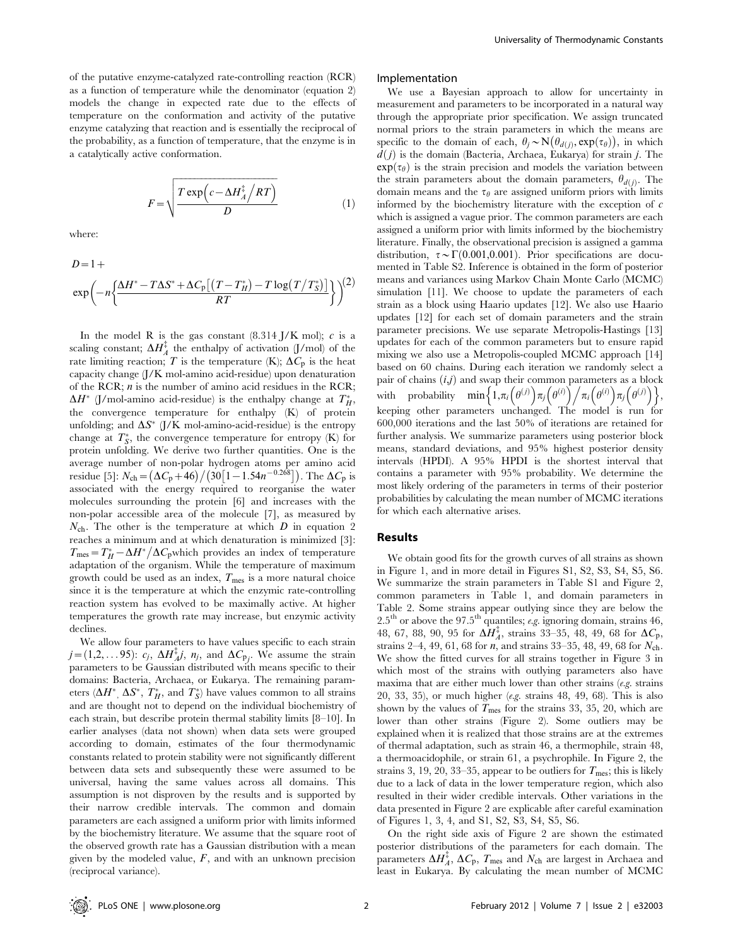of the putative enzyme-catalyzed rate-controlling reaction (RCR) as a function of temperature while the denominator (equation 2) models the change in expected rate due to the effects of temperature on the conformation and activity of the putative enzyme catalyzing that reaction and is essentially the reciprocal of the probability, as a function of temperature, that the enzyme is in a catalytically active conformation.

$$
F = \sqrt{\frac{T \exp\left(c - \Delta H_A^{\ddagger} / RT\right)}{D}} \tag{1}
$$

where:

$$
D=1+\\exp\left(-n\left\{\frac{\Delta H^*-T\Delta S^*+\Delta C_{\rm p}[(T-T_H^*)-T\log(T/T_S^*)]}{RT}\right\}\right)^{(2)}
$$

In the model R is the gas constant  $(8.314 \text{ J/K mol})$ ; c is a scaling constant;  $\Delta H_A^{\ddagger}$  the enthalpy of activation  $(J/mol)$  of the rate limiting reaction; T is the temperature (K);  $\Delta C_p$  is the heat capacity change (J/K mol-amino acid-residue) upon denaturation of the RCR;  $n$  is the number of amino acid residues in the RCR;  $\Delta H^*$  (J/mol-amino acid-residue) is the enthalpy change at  $T_H^*$ , the convergence temperature for enthalpy (K) of protein unfolding; and  $\Delta S^*$  (J/K mol-amino-acid-residue) is the entropy change at  $T^*_S$ , the convergence temperature for entropy (K) for protein unfolding. We derive two further quantities. One is the average number of non-polar hydrogen atoms per amino acid residue [5]:  $N_{\text{ch}} = (\Delta C_p + 46) / (30 [1 - 1.54n^{-0.268}])$ . The  $\Delta C_p$  is associated with the energy required to reorganise the water molecules surrounding the protein [6] and increases with the non-polar accessible area of the molecule [7], as measured by  $N_{\rm ch}$ . The other is the temperature at which  $D$  in equation 2 reaches a minimum and at which denaturation is minimized [3]: Tracentes a minimum and at which denaturation is minimized [5].<br>  $T_{\text{mes}} = T_H^* - \Delta H^* / \Delta C_p$  which provides an index of temperature adaptation of the organism. While the temperature of maximum growth could be used as an index,  $T_{\text{mes}}$  is a more natural choice since it is the temperature at which the enzymic rate-controlling reaction system has evolved to be maximally active. At higher temperatures the growth rate may increase, but enzymic activity declines.

We allow four parameters to have values specific to each strain  $j=(1,2,\ldots 95)$ :  $c_j$ ,  $\Delta H_{A}^{\ddagger}j$ ,  $n_j$ , and  $\Delta C_{p_j}$ . We assume the strain parameters to be Gaussian distributed with means specific to their domains: Bacteria, Archaea, or Eukarya. The remaining parameters  $(\Delta H^*, \Delta S^*, T_H^*,$  and  $T_S^*)$  have values common to all strains and are thought not to depend on the individual biochemistry of each strain, but describe protein thermal stability limits [8–10]. In earlier analyses (data not shown) when data sets were grouped according to domain, estimates of the four thermodynamic constants related to protein stability were not significantly different between data sets and subsequently these were assumed to be universal, having the same values across all domains. This assumption is not disproven by the results and is supported by their narrow credible intervals. The common and domain parameters are each assigned a uniform prior with limits informed by the biochemistry literature. We assume that the square root of the observed growth rate has a Gaussian distribution with a mean given by the modeled value,  $F$ , and with an unknown precision (reciprocal variance).

#### Implementation

We use a Bayesian approach to allow for uncertainty in measurement and parameters to be incorporated in a natural way through the appropriate prior specification. We assign truncated normal priors to the strain parameters in which the means are specific to the domain of each,  $\theta_j \sim N(\theta_{d(j)}, \exp(\tau_{\theta}))$ , in which  $d(j)$  is the domain (Bacteria, Archaea, Eukarya) for strain j. The  $\exp(\tau_{\theta})$  is the strain precision and models the variation between the strain parameters about the domain parameters,  $\theta_{d(i)}$ . The domain means and the  $\tau_{\theta}$  are assigned uniform priors with limits informed by the biochemistry literature with the exception of c which is assigned a vague prior. The common parameters are each assigned a uniform prior with limits informed by the biochemistry literature. Finally, the observational precision is assigned a gamma distribution,  $\tau \sim \Gamma(0.001, 0.001)$ . Prior specifications are documented in Table S2. Inference is obtained in the form of posterior means and variances using Markov Chain Monte Carlo (MCMC) simulation [11]. We choose to update the parameters of each strain as a block using Haario updates [12]. We also use Haario updates [12] for each set of domain parameters and the strain parameter precisions. We use separate Metropolis-Hastings [13] updates for each of the common parameters but to ensure rapid mixing we also use a Metropolis-coupled MCMC approach [14] based on 60 chains. During each iteration we randomly select a pair of chains  $(i,j)$  and swap their common parameters as a block with probability  $\min\Big\{1,\pi_i\Big(\theta^{(j)}\Big)\pi_j\Big(\theta^{(i)}\Big)\Big/\pi_i\Big(\theta^{(i)}\Big)\pi_j\Big(\theta^{(j)}\Big)\Big\},$ keeping other parameters unchanged. The model is run for 600,000 iterations and the last 50% of iterations are retained for further analysis. We summarize parameters using posterior block means, standard deviations, and 95% highest posterior density intervals (HPDI). A 95% HPDI is the shortest interval that contains a parameter with 95% probability. We determine the most likely ordering of the parameters in terms of their posterior probabilities by calculating the mean number of MCMC iterations for which each alternative arises.

#### Results

We obtain good fits for the growth curves of all strains as shown in Figure 1, and in more detail in Figures S1, S2, S3, S4, S5, S6. We summarize the strain parameters in Table S1 and Figure 2, common parameters in Table 1, and domain parameters in Table 2. Some strains appear outlying since they are below the  $2.5^{\text{th}}$  or above the 97.5<sup>th</sup> quantiles; *e.g.* ignoring domain, strains 46, 48, 67, 88, 90, 95 for  $\Delta H_A^{\ddag}$ , strains 33–35, 48, 49, 68 for  $\Delta C_p$ , strains 2–4, 49, 61, 68 for *n*, and strains 33–35, 48, 49, 68 for  $N_{\rm ch}$ . We show the fitted curves for all strains together in Figure 3 in which most of the strains with outlying parameters also have maxima that are either much lower than other strains  $(e.g.$  strains 20, 33, 35), or much higher (e.g. strains 48, 49, 68). This is also shown by the values of  $T_{\text{mes}}$  for the strains 33, 35, 20, which are lower than other strains (Figure 2). Some outliers may be explained when it is realized that those strains are at the extremes of thermal adaptation, such as strain 46, a thermophile, strain 48, a thermoacidophile, or strain 61, a psychrophile. In Figure 2, the strains 3, 19, 20, 33–35, appear to be outliers for  $T_{\text{mes}}$ ; this is likely due to a lack of data in the lower temperature region, which also resulted in their wider credible intervals. Other variations in the data presented in Figure 2 are explicable after careful examination of Figures 1, 3, 4, and S1, S2, S3, S4, S5, S6.

On the right side axis of Figure 2 are shown the estimated posterior distributions of the parameters for each domain. The parameters  $\Delta H_A^{\ddag}, \, \Delta C_{\rm p}, \, T_{\rm mes}$  and  $N_{\rm ch}$  are largest in Archaea and least in Eukarya. By calculating the mean number of MCMC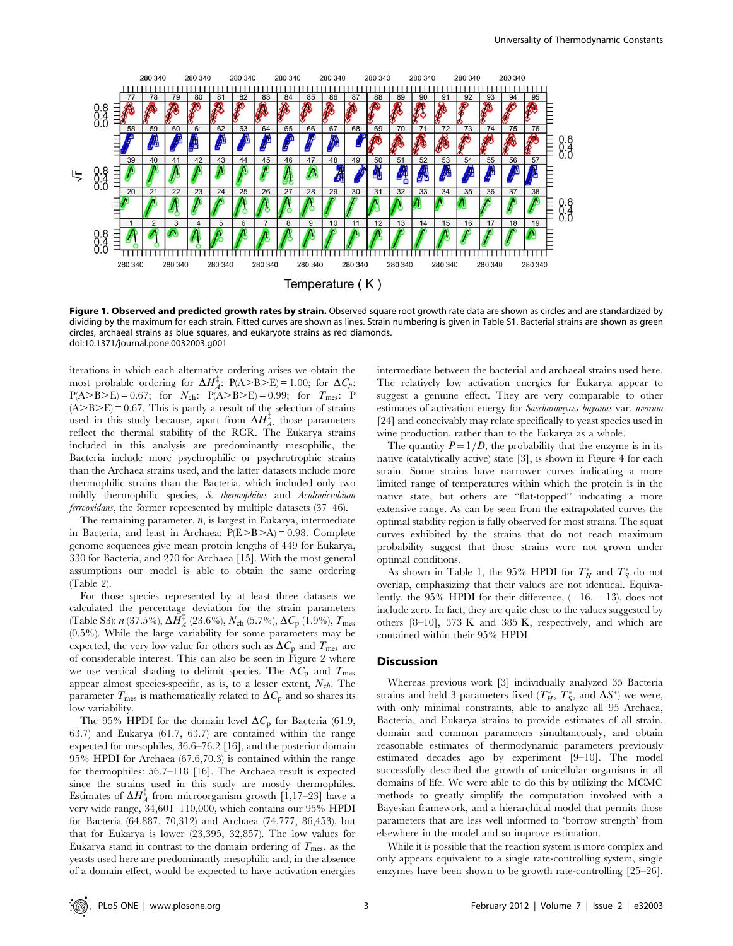

Figure 1. Observed and predicted growth rates by strain. Observed square root growth rate data are shown as circles and are standardized by dividing by the maximum for each strain. Fitted curves are shown as lines. Strain numbering is given in Table S1. Bacterial strains are shown as green circles, archaeal strains as blue squares, and eukaryote strains as red diamonds. doi:10.1371/journal.pone.0032003.g001

iterations in which each alternative ordering arises we obtain the most probable ordering for  $\Delta H_A^{\ddagger}$ : P(A>B>E) = 1.00; for  $\Delta C_p$ :  $P(A > B > E) = 0.67$ ; for  $N_{ch}$ :  $P(A > B > E) = 0.99$ ; for  $T_{mes}$ : P  $(A>B>E) = 0.67$ . This is partly a result of the selection of strains used in this study because, apart from  $\Delta H_{A}^{\ddagger}$ , those parameters reflect the thermal stability of the RCR. The Eukarya strains included in this analysis are predominantly mesophilic, the Bacteria include more psychrophilic or psychrotrophic strains than the Archaea strains used, and the latter datasets include more thermophilic strains than the Bacteria, which included only two mildly thermophilic species, S. thermophilus and Acidimicrobium ferrooxidans, the former represented by multiple datasets (37–46).

The remaining parameter,  $n$ , is largest in Eukarya, intermediate in Bacteria, and least in Archaea:  $P(E>B>A) = 0.98$ . Complete genome sequences give mean protein lengths of 449 for Eukarya, 330 for Bacteria, and 270 for Archaea [15]. With the most general assumptions our model is able to obtain the same ordering (Table 2).

For those species represented by at least three datasets we calculated the percentage deviation for the strain parameters (Table S3):  $n$  (37.5%),  $\Delta H_A^{\ddagger}$  (23.6%),  $N_{\text{ch}}$  (5.7%),  $\Delta C_{\text{p}}$  (1.9%),  $T_{\text{mes}}$ (0.5%). While the large variability for some parameters may be expected, the very low value for others such as  $\Delta C_p$  and  $T_{\text{mes}}$  are of considerable interest. This can also be seen in Figure 2 where we use vertical shading to delimit species. The  $\Delta C_p$  and  $T_{\text{mes}}$ appear almost species-specific, as is, to a lesser extent,  $N_{ch}$ . The parameter  $T_{\text{mes}}$  is mathematically related to  $\Delta C_{\text{p}}$  and so shares its low variability.

The 95% HPDI for the domain level  $\Delta C_p$  for Bacteria (61.9, 63.7) and Eukarya (61.7, 63.7) are contained within the range expected for mesophiles, 36.6–76.2 [16], and the posterior domain 95% HPDI for Archaea (67.6,70.3) is contained within the range for thermophiles: 56.7–118 [16]. The Archaea result is expected since the strains used in this study are mostly thermophiles. Estimates of  $\Delta H_A^{\ddagger}$  from microorganism growth [1,17–23] have a very wide range, 34,601–110,000, which contains our 95% HPDI for Bacteria (64,887, 70,312) and Archaea (74,777, 86,453), but that for Eukarya is lower (23,395, 32,857). The low values for Eukarya stand in contrast to the domain ordering of  $T_{\text{mes}}$ , as the yeasts used here are predominantly mesophilic and, in the absence of a domain effect, would be expected to have activation energies intermediate between the bacterial and archaeal strains used here. The relatively low activation energies for Eukarya appear to suggest a genuine effect. They are very comparable to other estimates of activation energy for Saccharomyces bayanus var. uvarum [24] and conceivably may relate specifically to yeast species used in wine production, rather than to the Eukarya as a whole.

The quantity  $P=1/D$ , the probability that the enzyme is in its native (catalytically active) state [3], is shown in Figure 4 for each strain. Some strains have narrower curves indicating a more limited range of temperatures within which the protein is in the native state, but others are ''flat-topped'' indicating a more extensive range. As can be seen from the extrapolated curves the optimal stability region is fully observed for most strains. The squat curves exhibited by the strains that do not reach maximum probability suggest that those strains were not grown under optimal conditions.

As shown in Table 1, the 95% HPDI for  $T_H^*$  and  $T_S^*$  do not overlap, emphasizing that their values are not identical. Equivalently, the 95% HPDI for their difference,  $(-16, -13)$ , does not include zero. In fact, they are quite close to the values suggested by others [8–10], 373 K and 385 K, respectively, and which are contained within their 95% HPDI.

#### **Discussion**

Whereas previous work [3] individually analyzed 35 Bacteria strains and held 3 parameters fixed  $(T^*_H, T^*_S,$  and  $\Delta S^* )$  we were, with only minimal constraints, able to analyze all 95 Archaea, Bacteria, and Eukarya strains to provide estimates of all strain, domain and common parameters simultaneously, and obtain reasonable estimates of thermodynamic parameters previously estimated decades ago by experiment [9–10]. The model successfully described the growth of unicellular organisms in all domains of life. We were able to do this by utilizing the MCMC methods to greatly simplify the computation involved with a Bayesian framework, and a hierarchical model that permits those parameters that are less well informed to 'borrow strength' from elsewhere in the model and so improve estimation.

While it is possible that the reaction system is more complex and only appears equivalent to a single rate-controlling system, single enzymes have been shown to be growth rate-controlling [25–26].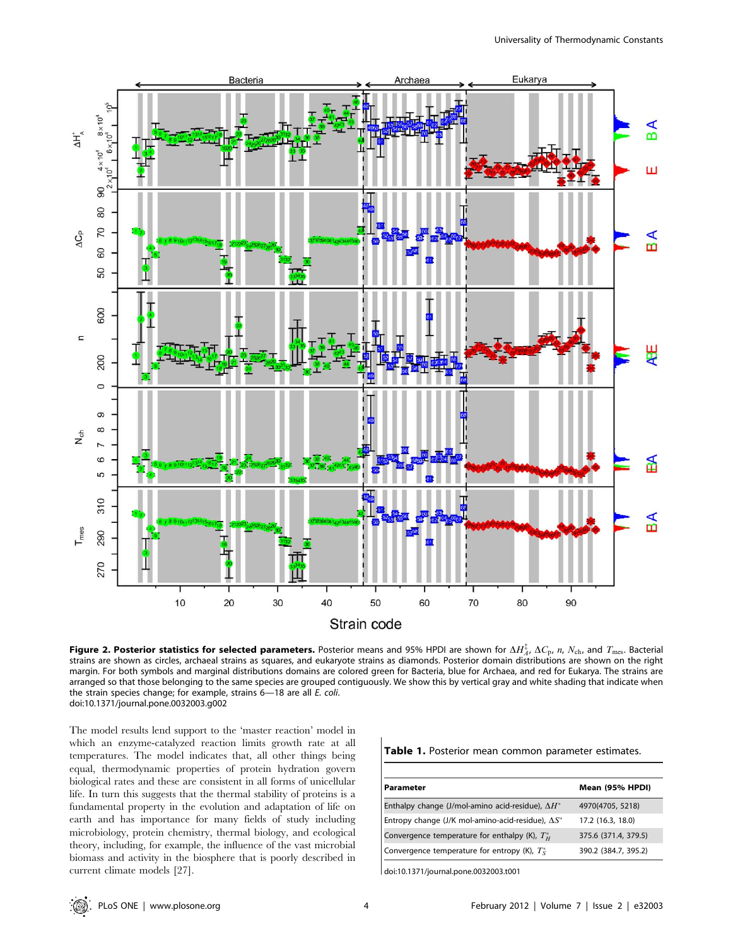

Figure 2. Posterior statistics for selected parameters. Posterior means and 95% HPDI are shown for  $\Delta H_{A'}^{\ddag}$   $\Delta C_{\rm p}$ ,  $n$ ,  $N_{\rm ch}$ , and  $T_{\rm mes}$ . Bacterial strains are shown as circles, archaeal strains as squares, and eukaryote strains as diamonds. Posterior domain distributions are shown on the right margin. For both symbols and marginal distributions domains are colored green for Bacteria, blue for Archaea, and red for Eukarya. The strains are arranged so that those belonging to the same species are grouped contiguously. We show this by vertical gray and white shading that indicate when the strain species change; for example, strains 6—18 are all E. coli. doi:10.1371/journal.pone.0032003.g002

The model results lend support to the 'master reaction' model in which an enzyme-catalyzed reaction limits growth rate at all temperatures. The model indicates that, all other things being equal, thermodynamic properties of protein hydration govern biological rates and these are consistent in all forms of unicellular life. In turn this suggests that the thermal stability of proteins is a fundamental property in the evolution and adaptation of life on earth and has importance for many fields of study including microbiology, protein chemistry, thermal biology, and ecological theory, including, for example, the influence of the vast microbial biomass and activity in the biosphere that is poorly described in current climate models [27].

|  |  |  |  |  | Table 1. Posterior mean common parameter estimates. |  |
|--|--|--|--|--|-----------------------------------------------------|--|
|--|--|--|--|--|-----------------------------------------------------|--|

| Parameter                                                 | Mean (95% HPDI)      |
|-----------------------------------------------------------|----------------------|
| Enthalpy change (J/mol-amino acid-residue), $\Delta H^*$  | 4970(4705, 5218)     |
| Entropy change (J/K mol-amino-acid-residue), $\Delta S^*$ | 17.2 (16.3, 18.0)    |
| Convergence temperature for enthalpy (K), $T_{H}^{*}$     | 375.6 (371.4, 379.5) |
| Convergence temperature for entropy (K), $T_c^*$          | 390.2 (384.7, 395.2) |

doi:10.1371/journal.pone.0032003.t001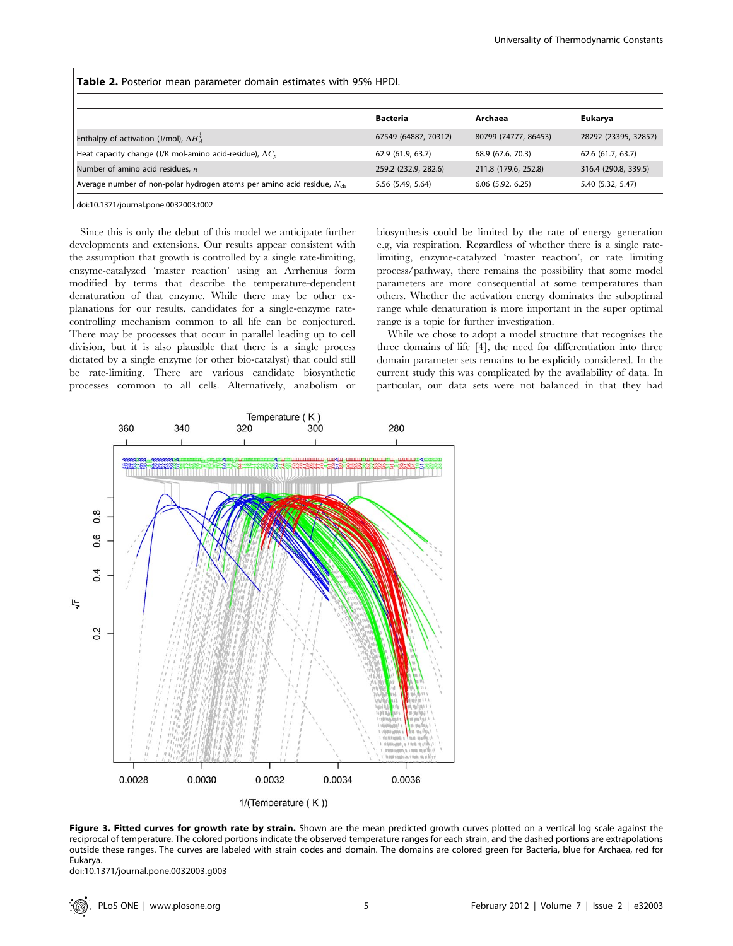Table 2. Posterior mean parameter domain estimates with 95% HPDI.

|                                                                             | <b>Bacteria</b>      | Archaea              | Eukarya              |
|-----------------------------------------------------------------------------|----------------------|----------------------|----------------------|
| Enthalpy of activation (J/mol), $\Delta H_A^*$                              | 67549 (64887, 70312) | 80799 (74777, 86453) | 28292 (23395, 32857) |
| Heat capacity change (J/K mol-amino acid-residue), $\Delta C_p$             | 62.9 (61.9, 63.7)    | 68.9 (67.6, 70.3)    | 62.6 (61.7, 63.7)    |
| Number of amino acid residues, n                                            | 259.2 (232.9, 282.6) | 211.8 (179.6, 252.8) | 316.4 (290.8, 339.5) |
| Average number of non-polar hydrogen atoms per amino acid residue, $N_{ch}$ | 5.56 (5.49, 5.64)    | $6.06$ (5.92, 6.25)  | 5.40 (5.32, 5.47)    |

doi:10.1371/journal.pone.0032003.t002

Since this is only the debut of this model we anticipate further developments and extensions. Our results appear consistent with the assumption that growth is controlled by a single rate-limiting, enzyme-catalyzed 'master reaction' using an Arrhenius form modified by terms that describe the temperature-dependent denaturation of that enzyme. While there may be other explanations for our results, candidates for a single-enzyme ratecontrolling mechanism common to all life can be conjectured. There may be processes that occur in parallel leading up to cell division, but it is also plausible that there is a single process dictated by a single enzyme (or other bio-catalyst) that could still be rate-limiting. There are various candidate biosynthetic processes common to all cells. Alternatively, anabolism or biosynthesis could be limited by the rate of energy generation e.g, via respiration. Regardless of whether there is a single ratelimiting, enzyme-catalyzed 'master reaction', or rate limiting process/pathway, there remains the possibility that some model parameters are more consequential at some temperatures than others. Whether the activation energy dominates the suboptimal range while denaturation is more important in the super optimal range is a topic for further investigation.

While we chose to adopt a model structure that recognises the three domains of life [4], the need for differentiation into three domain parameter sets remains to be explicitly considered. In the current study this was complicated by the availability of data. In particular, our data sets were not balanced in that they had



Figure 3. Fitted curves for growth rate by strain. Shown are the mean predicted growth curves plotted on a vertical log scale against the reciprocal of temperature. The colored portions indicate the observed temperature ranges for each strain, and the dashed portions are extrapolations outside these ranges. The curves are labeled with strain codes and domain. The domains are colored green for Bacteria, blue for Archaea, red for Eukarya.

doi:10.1371/journal.pone.0032003.g003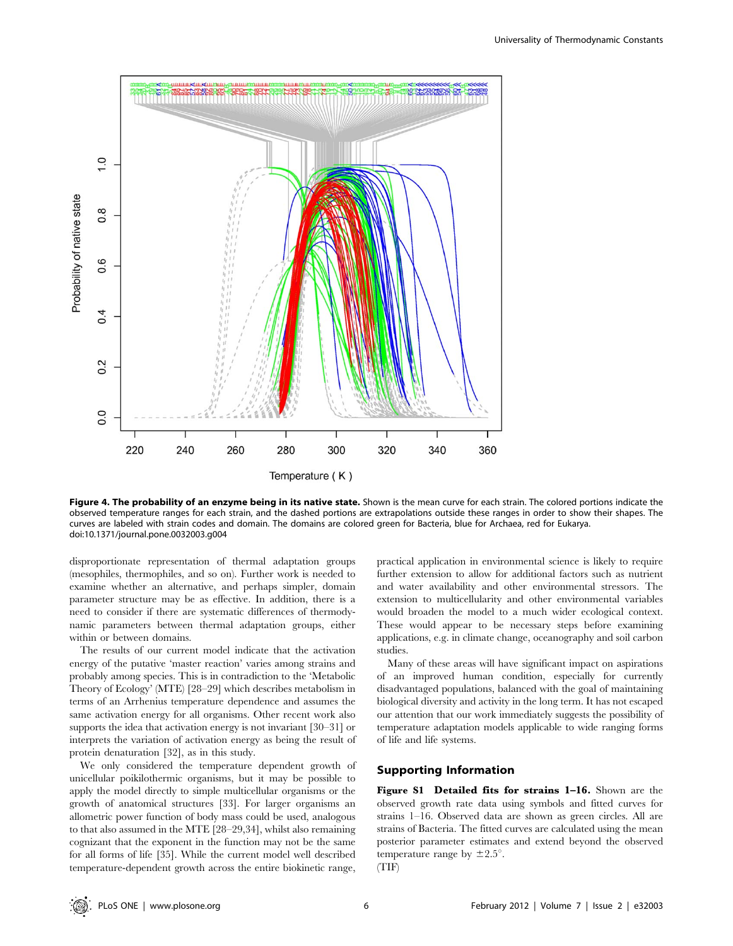

Figure 4. The probability of an enzyme being in its native state. Shown is the mean curve for each strain. The colored portions indicate the observed temperature ranges for each strain, and the dashed portions are extrapolations outside these ranges in order to show their shapes. The curves are labeled with strain codes and domain. The domains are colored green for Bacteria, blue for Archaea, red for Eukarya. doi:10.1371/journal.pone.0032003.g004

disproportionate representation of thermal adaptation groups (mesophiles, thermophiles, and so on). Further work is needed to examine whether an alternative, and perhaps simpler, domain parameter structure may be as effective. In addition, there is a need to consider if there are systematic differences of thermodynamic parameters between thermal adaptation groups, either within or between domains.

The results of our current model indicate that the activation energy of the putative 'master reaction' varies among strains and probably among species. This is in contradiction to the 'Metabolic Theory of Ecology' (MTE) [28–29] which describes metabolism in terms of an Arrhenius temperature dependence and assumes the same activation energy for all organisms. Other recent work also supports the idea that activation energy is not invariant [30–31] or interprets the variation of activation energy as being the result of protein denaturation [32], as in this study.

We only considered the temperature dependent growth of unicellular poikilothermic organisms, but it may be possible to apply the model directly to simple multicellular organisms or the growth of anatomical structures [33]. For larger organisms an allometric power function of body mass could be used, analogous to that also assumed in the MTE [28–29,34], whilst also remaining cognizant that the exponent in the function may not be the same for all forms of life [35]. While the current model well described temperature-dependent growth across the entire biokinetic range,

practical application in environmental science is likely to require further extension to allow for additional factors such as nutrient and water availability and other environmental stressors. The extension to multicellularity and other environmental variables would broaden the model to a much wider ecological context. These would appear to be necessary steps before examining applications, e.g. in climate change, oceanography and soil carbon studies.

Many of these areas will have significant impact on aspirations of an improved human condition, especially for currently disadvantaged populations, balanced with the goal of maintaining biological diversity and activity in the long term. It has not escaped our attention that our work immediately suggests the possibility of temperature adaptation models applicable to wide ranging forms of life and life systems.

## Supporting Information

Figure S1 Detailed fits for strains 1–16. Shown are the observed growth rate data using symbols and fitted curves for strains 1–16. Observed data are shown as green circles. All are strains of Bacteria. The fitted curves are calculated using the mean posterior parameter estimates and extend beyond the observed temperature range by  $\pm 2.5^{\circ}$ .

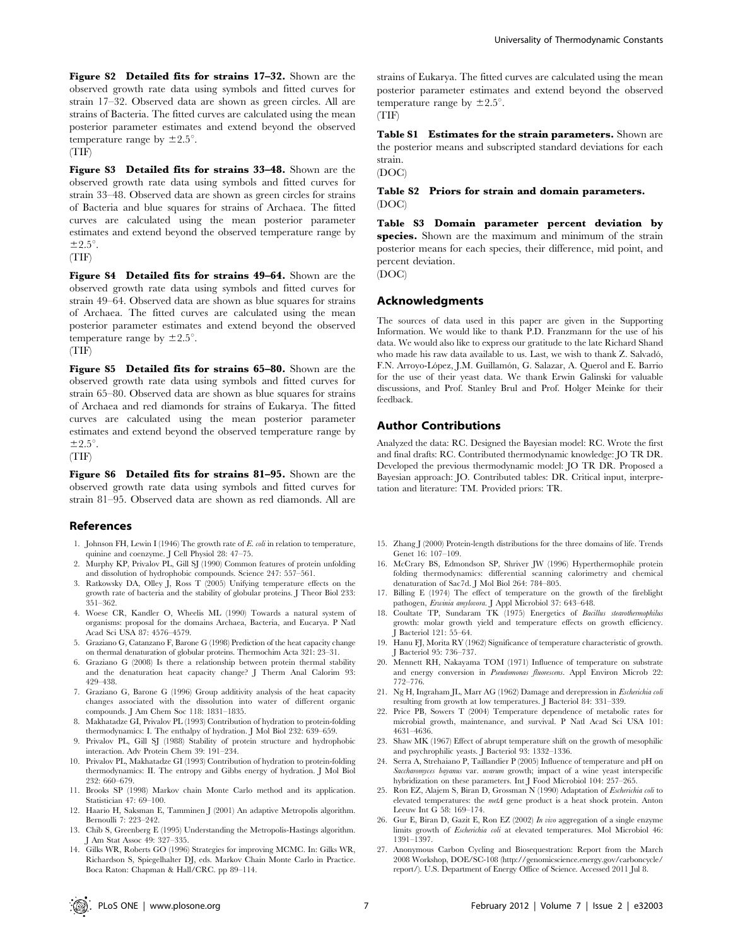Figure S2 Detailed fits for strains 17–32. Shown are the observed growth rate data using symbols and fitted curves for strain 17–32. Observed data are shown as green circles. All are strains of Bacteria. The fitted curves are calculated using the mean posterior parameter estimates and extend beyond the observed temperature range by  $\pm 2.5^{\circ}$ . (TIF)

Figure S3 Detailed fits for strains 33–48. Shown are the observed growth rate data using symbols and fitted curves for strain 33–48. Observed data are shown as green circles for strains of Bacteria and blue squares for strains of Archaea. The fitted curves are calculated using the mean posterior parameter estimates and extend beyond the observed temperature range by  $\pm 2.5^\circ$ .

(TIF)

Figure S4 Detailed fits for strains 49–64. Shown are the observed growth rate data using symbols and fitted curves for strain 49–64. Observed data are shown as blue squares for strains of Archaea. The fitted curves are calculated using the mean posterior parameter estimates and extend beyond the observed temperature range by  $\pm 2.5^{\circ}$ . (TIF)

Figure S5 Detailed fits for strains 65-80. Shown are the observed growth rate data using symbols and fitted curves for strain 65–80. Observed data are shown as blue squares for strains of Archaea and red diamonds for strains of Eukarya. The fitted curves are calculated using the mean posterior parameter estimates and extend beyond the observed temperature range by  $\pm 2.5^\circ$ .

(TIF)

Figure S6 Detailed fits for strains 81–95. Shown are the observed growth rate data using symbols and fitted curves for strain 81–95. Observed data are shown as red diamonds. All are

#### References

- 1. Johnson FH, Lewin I (1946) The growth rate of E. coli in relation to temperature, quinine and coenzyme. J Cell Physiol 28: 47–75.
- 2. Murphy KP, Privalov PL, Gill SJ (1990) Common features of protein unfolding and dissolution of hydrophobic compounds. Science 247: 557–561.
- 3. Ratkowsky DA, Olley J, Ross T (2005) Unifying temperature effects on the growth rate of bacteria and the stability of globular proteins. J Theor Biol 233: 351–362.
- 4. Woese CR, Kandler O, Wheelis ML (1990) Towards a natural system of organisms: proposal for the domains Archaea, Bacteria, and Eucarya. P Natl Acad Sci USA 87: 4576–4579.
- 5. Graziano G, Catanzano F, Barone G (1998) Prediction of the heat capacity change on thermal denaturation of globular proteins. Thermochim Acta 321: 23–31.
- 6. Graziano G (2008) Is there a relationship between protein thermal stability and the denaturation heat capacity change? J Therm Anal Calorim 93: 429–438.
- 7. Graziano G, Barone G (1996) Group additivity analysis of the heat capacity changes associated with the dissolution into water of different organic compounds. J Am Chem Soc 118: 1831–1835.
- 8. Makhatadze GI, Privalov PL (1993) Contribution of hydration to protein-folding thermodynamics: I. The enthalpy of hydration. J Mol Biol 232: 639–659.
- 9. Privalov PL, Gill SJ (1988) Stability of protein structure and hydrophobic interaction. Adv Protein Chem 39: 191–234.
- 10. Privalov PL, Makhatadze GI (1993) Contribution of hydration to protein-folding thermodynamics: II. The entropy and Gibbs energy of hydration. J Mol Biol 232: 660–679.
- 11. Brooks SP (1998) Markov chain Monte Carlo method and its application. Statistician 47: 69–100.
- 12. Haario H, Saksman E, Tamminen J (2001) An adaptive Metropolis algorithm. Bernoulli 7: 223–242.
- 13. Chib S, Greenberg E (1995) Understanding the Metropolis-Hastings algorithm. J Am Stat Assoc 49: 327–335.
- 14. Gilks WR, Roberts GO (1996) Strategies for improving MCMC. In: Gilks WR, Richardson S, Spiegelhalter DJ, eds. Markov Chain Monte Carlo in Practice. Boca Raton: Chapman & Hall/CRC. pp 89–114.

strains of Eukarya. The fitted curves are calculated using the mean posterior parameter estimates and extend beyond the observed temperature range by  $\pm 2.5^{\circ}$ . (TIF)

Table S1 Estimates for the strain parameters. Shown are the posterior means and subscripted standard deviations for each strain.

#### (DOC)

Table S2 Priors for strain and domain parameters. (DOC)

Table S3 Domain parameter percent deviation by species. Shown are the maximum and minimum of the strain posterior means for each species, their difference, mid point, and percent deviation.

(DOC)

#### Acknowledgments

The sources of data used in this paper are given in the Supporting Information. We would like to thank P.D. Franzmann for the use of his data. We would also like to express our gratitude to the late Richard Shand who made his raw data available to us. Last, we wish to thank Z. Salvadó, F.N. Arroyo-López, J.M. Guillamón, G. Salazar, A. Querol and E. Barrio for the use of their yeast data. We thank Erwin Galinski for valuable discussions, and Prof. Stanley Brul and Prof. Holger Meinke for their feedback.

## Author Contributions

Analyzed the data: RC. Designed the Bayesian model: RC. Wrote the first and final drafts: RC. Contributed thermodynamic knowledge: JO TR DR. Developed the previous thermodynamic model: JO TR DR. Proposed a Bayesian approach: JO. Contributed tables: DR. Critical input, interpretation and literature: TM. Provided priors: TR.

- 15. Zhang J (2000) Protein-length distributions for the three domains of life. Trends Genet 16: 107–109.
- 16. McCrary BS, Edmondson SP, Shriver JW (1996) Hyperthermophile protein folding thermodynamics: differential scanning calorimetry and chemical denaturation of Sac7d. J Mol Biol 264: 784–805.
- 17. Billing E (1974) The effect of temperature on the growth of the fireblight pathogen, Erwinia amylovora. J Appl Microbiol 37: 643–648.
- 18. Coultate TP, Sundaram TK (1975) Energetics of Bacillus stearothermophilus growth: molar growth yield and temperature effects on growth efficiency. J Bacteriol 121: 55–64.
- 19. Hanu FJ, Morita RY (1962) Significance of temperature characteristic of growth. J Bacteriol 95: 736–737.
- 20. Mennett RH, Nakayama TOM (1971) Influence of temperature on substrate and energy conversion in Pseudomonas fluorescens. Appl Environ Microb 22: 772–776.
- 21. Ng H, Ingraham JL, Marr AG (1962) Damage and derepression in Escherichia coli resulting from growth at low temperatures. J Bacteriol 84: 331–339.
- 22. Price PB, Sowers T (2004) Temperature dependence of metabolic rates for microbial growth, maintenance, and survival. P Natl Acad Sci USA 101: 4631–4636.
- 23. Shaw MK (1967) Effect of abrupt temperature shift on the growth of mesophilic and psychrophilic yeasts. J Bacteriol 93: 1332–1336.
- 24. Serra A, Strehaiano P, Taillandier P (2005) Influence of temperature and pH on Saccharomyces bayanus var. uvarum growth; impact of a wine yeast interspecific hybridization on these parameters. Int J Food Microbiol 104: 257–265.
- 25. Ron EZ, Alajem S, Biran D, Grossman N (1990) Adaptation of Escherichia coli to elevated temperatures: the metA gene product is a heat shock protein. Anton Leeuw Int G 58: 169–174.
- 26. Gur E, Biran D, Gazit E, Ron EZ (2002) In vivo aggregation of a single enzyme limits growth of *Escherichia coli* at elevated temperatures. Mol Microbiol 46: 1391–1397.
- 27. Anonymous Carbon Cycling and Biosequestration: Report from the March 2008 Workshop, DOE/SC-108 (http://genomicscience.energy.gov/carboncycle/ report/). U.S. Department of Energy Office of Science. Accessed 2011 Jul 8.